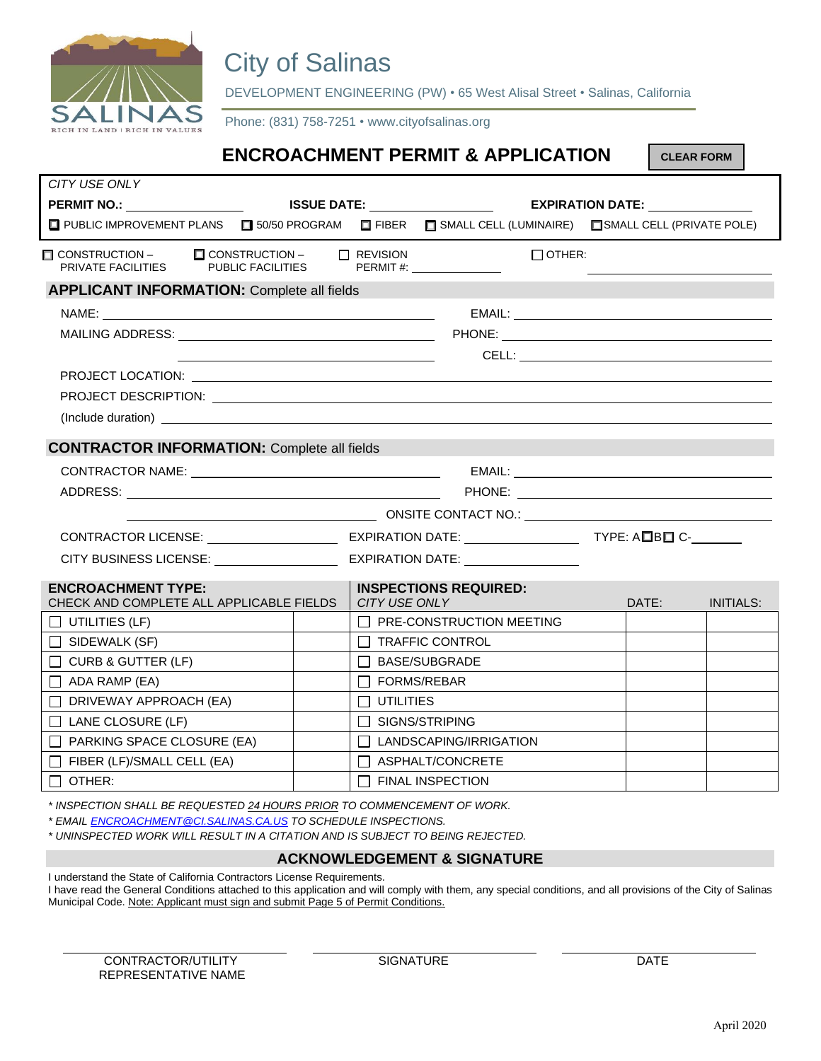

## City of Salinas

DEVELOPMENT ENGINEERING (PW) • 65 West Alisal Street • Salinas, California

Phone: (831) 758-7251 • www.cityofsalinas.org

|                                                                                                                |  |                                                                             | <b>ENCROACHMENT PERMIT &amp; APPLICATION</b> |  | <b>CLEAR FORM</b> |                  |
|----------------------------------------------------------------------------------------------------------------|--|-----------------------------------------------------------------------------|----------------------------------------------|--|-------------------|------------------|
| CITY USE ONLY                                                                                                  |  |                                                                             |                                              |  |                   |                  |
| <b>PERMIT NO.:</b> ___________________                                                                         |  | <b>ISSUE DATE:</b> ____________________<br>EXPIRATION DATE: _______________ |                                              |  |                   |                  |
| □ PUBLIC IMPROVEMENT PLANS □ 50/50 PROGRAM □ FIBER □ SMALL CELL (LUMINAIRE) □ SMALL CELL (PRIVATE POLE)        |  |                                                                             |                                              |  |                   |                  |
| □ CONSTRUCTION – □ CONSTRUCTION – □ REVISION<br>PRIVATE FACILITIES PUBLIC FACILITIES PERMIT #:                 |  |                                                                             | $\Box$ OTHER:<br>$\Box$ REVISION             |  |                   |                  |
| <b>APPLICANT INFORMATION: Complete all fields</b>                                                              |  |                                                                             |                                              |  |                   |                  |
|                                                                                                                |  |                                                                             |                                              |  |                   |                  |
|                                                                                                                |  |                                                                             |                                              |  |                   |                  |
|                                                                                                                |  |                                                                             |                                              |  |                   |                  |
|                                                                                                                |  |                                                                             |                                              |  |                   |                  |
| PROJECT DESCRIPTION: LAND CONTROL DESCRIPTION: LAND CONTROL DESCRIPTION: LAND CONTROL DESCRIPTION:             |  |                                                                             |                                              |  |                   |                  |
|                                                                                                                |  |                                                                             |                                              |  |                   |                  |
| <b>CONTRACTOR INFORMATION: Complete all fields</b>                                                             |  |                                                                             |                                              |  |                   |                  |
|                                                                                                                |  |                                                                             |                                              |  |                   |                  |
|                                                                                                                |  |                                                                             |                                              |  |                   |                  |
|                                                                                                                |  |                                                                             |                                              |  |                   |                  |
|                                                                                                                |  |                                                                             |                                              |  |                   |                  |
| CITY BUSINESS LICENSE: VALUE AND ACTIVE AND ACTIVE AND ACTIVE AND ACTIVE AND ACTIVE ASSESSMENT AND A CITY OF A |  |                                                                             | EXPIRATION DATE: ________________            |  |                   |                  |
| <b>ENCROACHMENT TYPE:</b><br>CHECK AND COMPLETE ALL APPLICABLE FIELDS                                          |  | CITY USE ONLY                                                               | <b>INSPECTIONS REQUIRED:</b>                 |  | DATE:             | <b>INITIALS:</b> |
| $\Box$ UTILITIES (LF)                                                                                          |  |                                                                             | $\Box$ PRE-CONSTRUCTION MEETING              |  |                   |                  |
| $\Box$ SIDEWALK (SF)                                                                                           |  |                                                                             | $\Box$ TRAFFIC CONTROL                       |  |                   |                  |
| $\Box$ CURB & GUTTER (LF)                                                                                      |  |                                                                             | □ BASE/SUBGRADE                              |  |                   |                  |
| $\Box$ ADA RAMP (EA)                                                                                           |  |                                                                             | <b>FORMS/REBAR</b>                           |  |                   |                  |
| $\Box$ DRIVEWAY APPROACH (EA)                                                                                  |  | <b>UTILITIES</b><br>$\Box$                                                  |                                              |  |                   |                  |
| $\Box$ LANE CLOSURE (LF)                                                                                       |  |                                                                             | $\Box$ SIGNS/STRIPING                        |  |                   |                  |
| $\Box$ PARKING SPACE CLOSURE (EA)                                                                              |  |                                                                             | <b>TLANDSCAPING/IRRIGATION</b>               |  |                   |                  |
| $\Box$ FIBER (LF)/SMALL CELL (EA)                                                                              |  | $\Box$                                                                      | ASPHALT/CONCRETE                             |  |                   |                  |
| $\Box$ OTHER:                                                                                                  |  | $\Box$                                                                      | <b>FINAL INSPECTION</b>                      |  |                   |                  |

*\* INSPECTION SHALL BE REQUESTED 24 HOURS PRIOR TO COMMENCEMENT OF WORK.*

*\* EMAIL ENCROACHMENT@CI.SALINAS.CA.US TO SCHEDULE INSPECTIONS.*

*\* UNINSPECTED WORK WILL RESULT IN A CITATION AND IS SUBJECT TO BEING REJECTED.*

#### **ACKNOWLEDGEMENT & SIGNATURE**

I understand the State of California Contractors License Requirements.

I have read the General Conditions attached to this application and will comply with them, any special conditions, and all provisions of the City of Salinas Municipal Code. Note: Applicant must sign and submit Page 5 of Permit Conditions.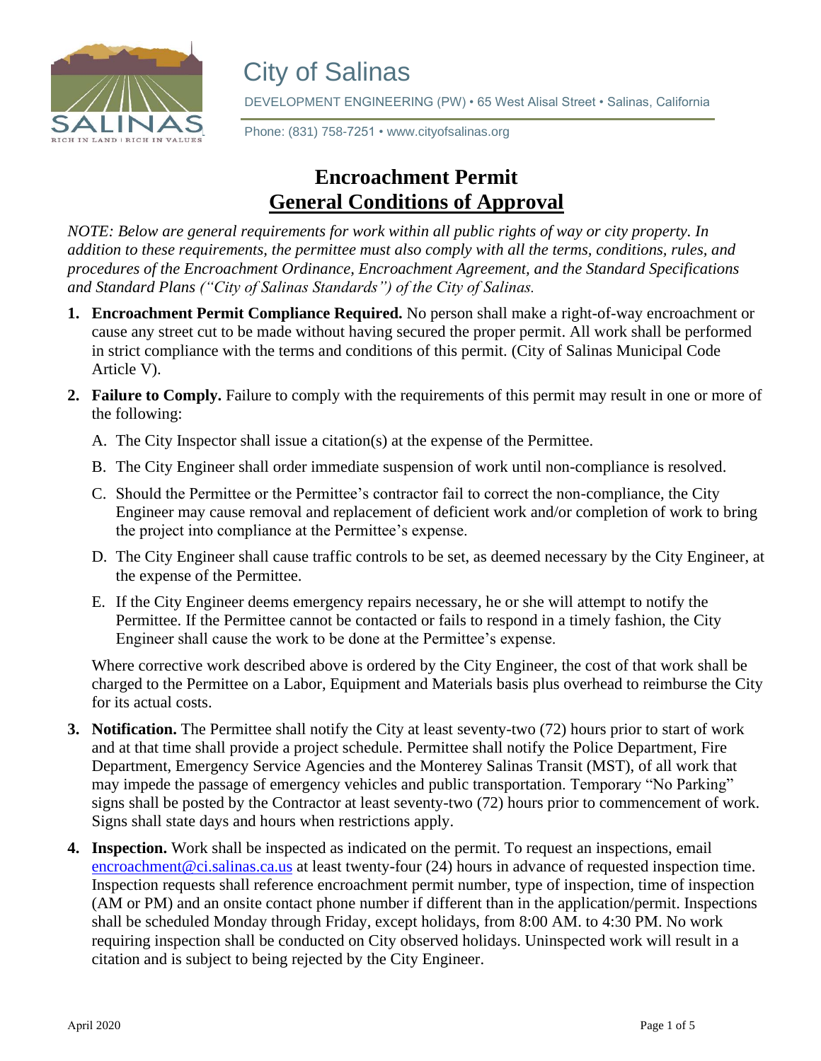

# City of Salinas

DEVELOPMENT ENGINEERING (PW) • 65 West Alisal Street • Salinas, California

**Phone: (831) 758-7251 • www.cityofsalinas.org**<br>RIGH IN LAND | RIGH IN VALUES

### **Encroachment Permit General Conditions of Approval**

*NOTE: Below are general requirements for work within all public rights of way or city property. In addition to these requirements, the permittee must also comply with all the terms, conditions, rules, and procedures of the Encroachment Ordinance, Encroachment Agreement, and the Standard Specifications and Standard Plans ("City of Salinas Standards") of the City of Salinas.* 

- **1. Encroachment Permit Compliance Required.** No person shall make a right-of-way encroachment or cause any street cut to be made without having secured the proper permit. All work shall be performed in strict compliance with the terms and conditions of this permit. (City of Salinas Municipal Code Article V).
- **2. Failure to Comply.** Failure to comply with the requirements of this permit may result in one or more of the following:
	- A. The City Inspector shall issue a citation(s) at the expense of the Permittee.
	- B. The City Engineer shall order immediate suspension of work until non-compliance is resolved.
	- C. Should the Permittee or the Permittee's contractor fail to correct the non-compliance, the City Engineer may cause removal and replacement of deficient work and/or completion of work to bring the project into compliance at the Permittee's expense.
	- D. The City Engineer shall cause traffic controls to be set, as deemed necessary by the City Engineer, at the expense of the Permittee.
	- E. If the City Engineer deems emergency repairs necessary, he or she will attempt to notify the Permittee. If the Permittee cannot be contacted or fails to respond in a timely fashion, the City Engineer shall cause the work to be done at the Permittee's expense.

Where corrective work described above is ordered by the City Engineer, the cost of that work shall be charged to the Permittee on a Labor, Equipment and Materials basis plus overhead to reimburse the City for its actual costs.

- **3. Notification.** The Permittee shall notify the City at least seventy-two (72) hours prior to start of work and at that time shall provide a project schedule. Permittee shall notify the Police Department, Fire Department, Emergency Service Agencies and the Monterey Salinas Transit (MST), of all work that may impede the passage of emergency vehicles and public transportation. Temporary "No Parking" signs shall be posted by the Contractor at least seventy-two (72) hours prior to commencement of work. Signs shall state days and hours when restrictions apply.
- **4. Inspection.** Work shall be inspected as indicated on the permit. To request an inspections, email encroachment@ci.salinas.ca.us at least twenty-four (24) hours in advance of requested inspection time. Inspection requests shall reference encroachment permit number, type of inspection, time of inspection (AM or PM) and an onsite contact phone number if different than in the application/permit. Inspections shall be scheduled Monday through Friday, except holidays, from 8:00 AM. to 4:30 PM. No work requiring inspection shall be conducted on City observed holidays. Uninspected work will result in a citation and is subject to being rejected by the City Engineer.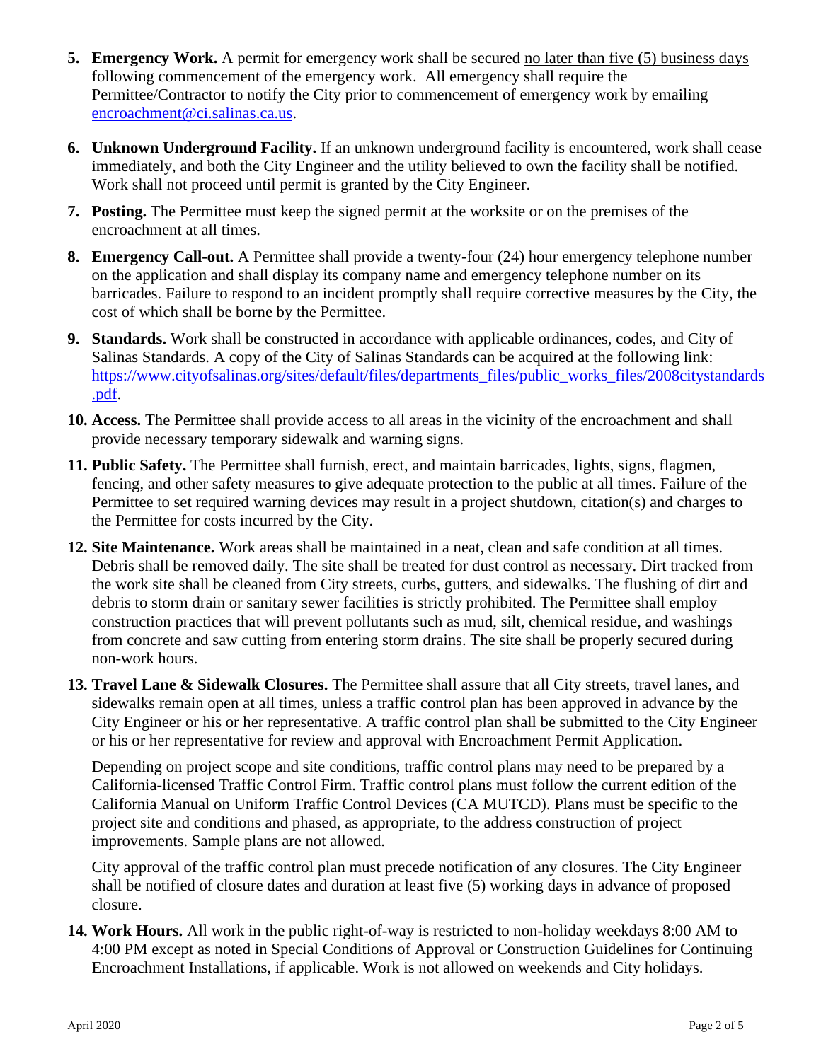- **5. Emergency Work.** A permit for emergency work shall be secured no later than five (5) business days following commencement of the emergency work. All emergency shall require the Permittee/Contractor to notify the City prior to commencement of emergency work by emailing encroachment@ci.salinas.ca.us.
- **6. Unknown Underground Facility.** If an unknown underground facility is encountered, work shall cease immediately, and both the City Engineer and the utility believed to own the facility shall be notified. Work shall not proceed until permit is granted by the City Engineer.
- **7. Posting.** The Permittee must keep the signed permit at the worksite or on the premises of the encroachment at all times.
- **8. Emergency Call-out.** A Permittee shall provide a twenty-four (24) hour emergency telephone number on the application and shall display its company name and emergency telephone number on its barricades. Failure to respond to an incident promptly shall require corrective measures by the City, the cost of which shall be borne by the Permittee.
- **9. Standards.** Work shall be constructed in accordance with applicable ordinances, codes, and City of Salinas Standards. A copy of the City of Salinas Standards can be acquired at the following link: https://www.cityofsalinas.org/sites/default/files/departments\_files/public\_works\_files/2008citystandards .pdf.
- **10. Access.** The Permittee shall provide access to all areas in the vicinity of the encroachment and shall provide necessary temporary sidewalk and warning signs.
- **11. Public Safety.** The Permittee shall furnish, erect, and maintain barricades, lights, signs, flagmen, fencing, and other safety measures to give adequate protection to the public at all times. Failure of the Permittee to set required warning devices may result in a project shutdown, citation(s) and charges to the Permittee for costs incurred by the City.
- **12. Site Maintenance.** Work areas shall be maintained in a neat, clean and safe condition at all times. Debris shall be removed daily. The site shall be treated for dust control as necessary. Dirt tracked from the work site shall be cleaned from City streets, curbs, gutters, and sidewalks. The flushing of dirt and debris to storm drain or sanitary sewer facilities is strictly prohibited. The Permittee shall employ construction practices that will prevent pollutants such as mud, silt, chemical residue, and washings from concrete and saw cutting from entering storm drains. The site shall be properly secured during non-work hours.
- **13. Travel Lane & Sidewalk Closures.** The Permittee shall assure that all City streets, travel lanes, and sidewalks remain open at all times, unless a traffic control plan has been approved in advance by the City Engineer or his or her representative. A traffic control plan shall be submitted to the City Engineer or his or her representative for review and approval with Encroachment Permit Application.

Depending on project scope and site conditions, traffic control plans may need to be prepared by a California-licensed Traffic Control Firm. Traffic control plans must follow the current edition of the California Manual on Uniform Traffic Control Devices (CA MUTCD). Plans must be specific to the project site and conditions and phased, as appropriate, to the address construction of project improvements. Sample plans are not allowed.

City approval of the traffic control plan must precede notification of any closures. The City Engineer shall be notified of closure dates and duration at least five (5) working days in advance of proposed closure.

**14. Work Hours.** All work in the public right-of-way is restricted to non-holiday weekdays 8:00 AM to 4:00 PM except as noted in Special Conditions of Approval or Construction Guidelines for Continuing Encroachment Installations, if applicable. Work is not allowed on weekends and City holidays.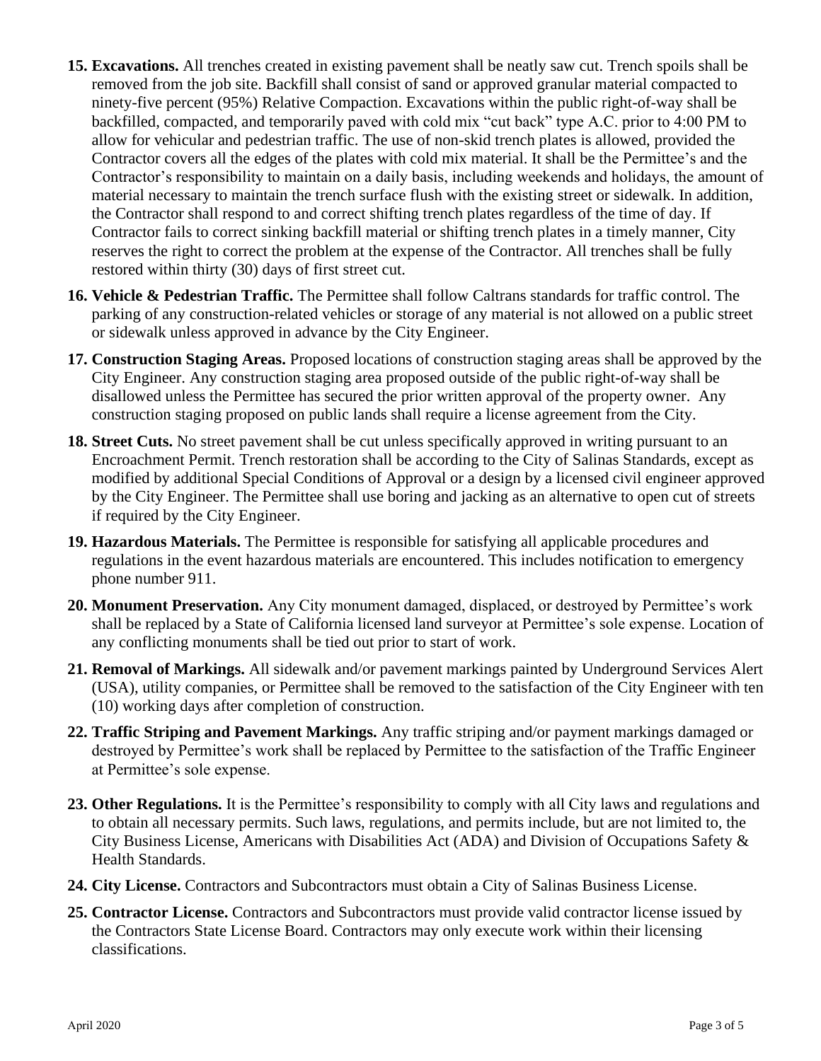- **15. Excavations.** All trenches created in existing pavement shall be neatly saw cut. Trench spoils shall be removed from the job site. Backfill shall consist of sand or approved granular material compacted to ninety-five percent (95%) Relative Compaction. Excavations within the public right-of-way shall be backfilled, compacted, and temporarily paved with cold mix "cut back" type A.C. prior to 4:00 PM to allow for vehicular and pedestrian traffic. The use of non-skid trench plates is allowed, provided the Contractor covers all the edges of the plates with cold mix material. It shall be the Permittee's and the Contractor's responsibility to maintain on a daily basis, including weekends and holidays, the amount of material necessary to maintain the trench surface flush with the existing street or sidewalk. In addition, the Contractor shall respond to and correct shifting trench plates regardless of the time of day. If Contractor fails to correct sinking backfill material or shifting trench plates in a timely manner, City reserves the right to correct the problem at the expense of the Contractor. All trenches shall be fully restored within thirty (30) days of first street cut.
- **16. Vehicle & Pedestrian Traffic.** The Permittee shall follow Caltrans standards for traffic control. The parking of any construction-related vehicles or storage of any material is not allowed on a public street or sidewalk unless approved in advance by the City Engineer.
- **17. Construction Staging Areas.** Proposed locations of construction staging areas shall be approved by the City Engineer. Any construction staging area proposed outside of the public right-of-way shall be disallowed unless the Permittee has secured the prior written approval of the property owner. Any construction staging proposed on public lands shall require a license agreement from the City.
- **18. Street Cuts.** No street pavement shall be cut unless specifically approved in writing pursuant to an Encroachment Permit. Trench restoration shall be according to the City of Salinas Standards, except as modified by additional Special Conditions of Approval or a design by a licensed civil engineer approved by the City Engineer. The Permittee shall use boring and jacking as an alternative to open cut of streets if required by the City Engineer.
- **19. Hazardous Materials.** The Permittee is responsible for satisfying all applicable procedures and regulations in the event hazardous materials are encountered. This includes notification to emergency phone number 911.
- **20. Monument Preservation.** Any City monument damaged, displaced, or destroyed by Permittee's work shall be replaced by a State of California licensed land surveyor at Permittee's sole expense. Location of any conflicting monuments shall be tied out prior to start of work.
- **21. Removal of Markings.** All sidewalk and/or pavement markings painted by Underground Services Alert (USA), utility companies, or Permittee shall be removed to the satisfaction of the City Engineer with ten (10) working days after completion of construction.
- **22. Traffic Striping and Pavement Markings.** Any traffic striping and/or payment markings damaged or destroyed by Permittee's work shall be replaced by Permittee to the satisfaction of the Traffic Engineer at Permittee's sole expense.
- **23. Other Regulations.** It is the Permittee's responsibility to comply with all City laws and regulations and to obtain all necessary permits. Such laws, regulations, and permits include, but are not limited to, the City Business License, Americans with Disabilities Act (ADA) and Division of Occupations Safety & Health Standards.
- **24. City License.** Contractors and Subcontractors must obtain a City of Salinas Business License.
- **25. Contractor License.** Contractors and Subcontractors must provide valid contractor license issued by the Contractors State License Board. Contractors may only execute work within their licensing classifications.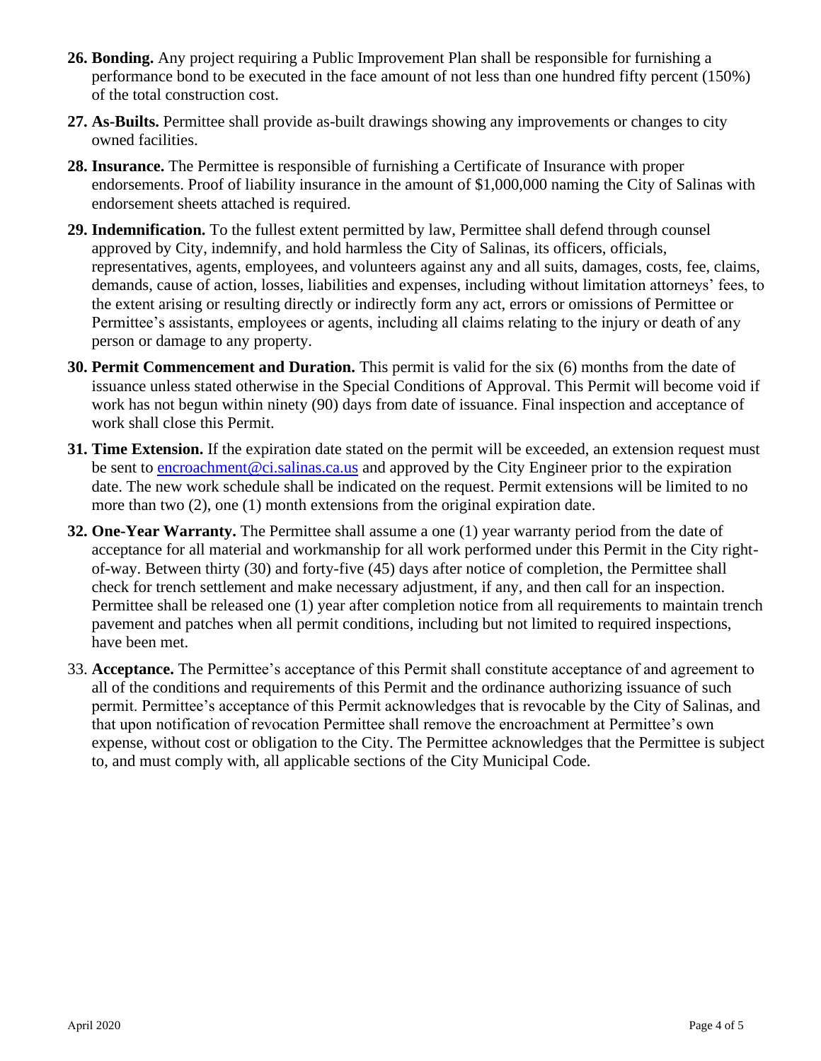- **26. Bonding.** Any project requiring a Public Improvement Plan shall be responsible for furnishing a performance bond to be executed in the face amount of not less than one hundred fifty percent (150%) of the total construction cost.
- **27. As-Builts.** Permittee shall provide as-built drawings showing any improvements or changes to city owned facilities.
- **28. Insurance.** The Permittee is responsible of furnishing a Certificate of Insurance with proper endorsements. Proof of liability insurance in the amount of \$1,000,000 naming the City of Salinas with endorsement sheets attached is required.
- **29. Indemnification.** To the fullest extent permitted by law, Permittee shall defend through counsel approved by City, indemnify, and hold harmless the City of Salinas, its officers, officials, representatives, agents, employees, and volunteers against any and all suits, damages, costs, fee, claims, demands, cause of action, losses, liabilities and expenses, including without limitation attorneys' fees, to the extent arising or resulting directly or indirectly form any act, errors or omissions of Permittee or Permittee's assistants, employees or agents, including all claims relating to the injury or death of any person or damage to any property.
- **30. Permit Commencement and Duration.** This permit is valid for the six (6) months from the date of issuance unless stated otherwise in the Special Conditions of Approval. This Permit will become void if work has not begun within ninety (90) days from date of issuance. Final inspection and acceptance of work shall close this Permit.
- **31. Time Extension.** If the expiration date stated on the permit will be exceeded, an extension request must be sent to encroachment@ci.salinas.ca.us and approved by the City Engineer prior to the expiration date. The new work schedule shall be indicated on the request. Permit extensions will be limited to no more than two (2), one (1) month extensions from the original expiration date.
- **32. One-Year Warranty.** The Permittee shall assume a one (1) year warranty period from the date of acceptance for all material and workmanship for all work performed under this Permit in the City rightof-way. Between thirty (30) and forty-five (45) days after notice of completion, the Permittee shall check for trench settlement and make necessary adjustment, if any, and then call for an inspection. Permittee shall be released one (1) year after completion notice from all requirements to maintain trench pavement and patches when all permit conditions, including but not limited to required inspections, have been met.
- 33. **Acceptance.** The Permittee's acceptance of this Permit shall constitute acceptance of and agreement to all of the conditions and requirements of this Permit and the ordinance authorizing issuance of such permit. Permittee's acceptance of this Permit acknowledges that is revocable by the City of Salinas, and that upon notification of revocation Permittee shall remove the encroachment at Permittee's own expense, without cost or obligation to the City. The Permittee acknowledges that the Permittee is subject to, and must comply with, all applicable sections of the City Municipal Code.